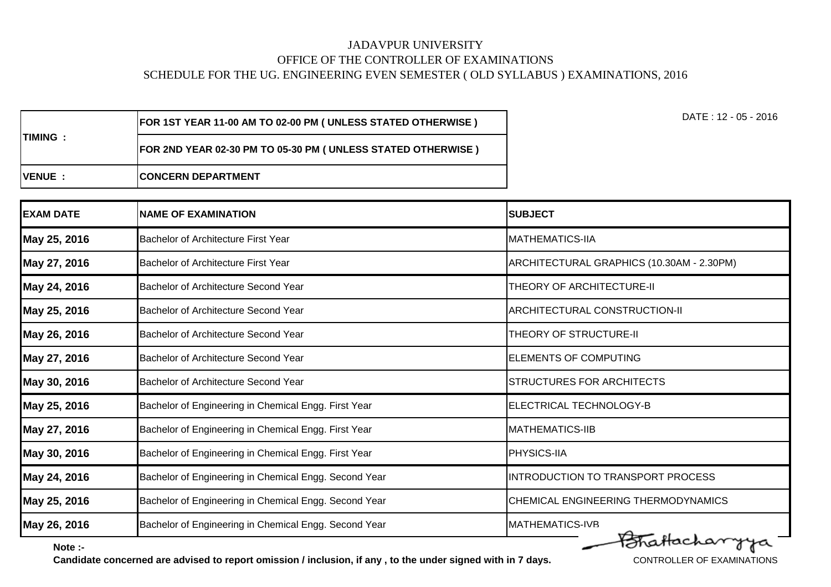|                 | <b>FOR 1ST YEAR 11-00 AM TO 02-00 PM ( UNLESS STATED OTHERWISE )</b> | DATE : 12 - 05 - 2016 |
|-----------------|----------------------------------------------------------------------|-----------------------|
| <b>ITIMING:</b> | FOR 2ND YEAR 02-30 PM TO 05-30 PM ( UNLESS STATED OTHERWISE )        |                       |
| <b>IVENUE :</b> | <b>ICONCERN DEPARTMENT</b>                                           |                       |

| <b>EXAM DATE</b> | <b>NAME OF EXAMINATION</b>                            | <b>SUBJECT</b>                            |
|------------------|-------------------------------------------------------|-------------------------------------------|
| May 25, 2016     | <b>Bachelor of Architecture First Year</b>            | <b>MATHEMATICS-IIA</b>                    |
| May 27, 2016     | Bachelor of Architecture First Year                   | ARCHITECTURAL GRAPHICS (10.30AM - 2.30PM) |
| May 24, 2016     | Bachelor of Architecture Second Year                  | <b>THEORY OF ARCHITECTURE-II</b>          |
| May 25, 2016     | <b>Bachelor of Architecture Second Year</b>           | ARCHITECTURAL CONSTRUCTION-II             |
| May 26, 2016     | Bachelor of Architecture Second Year                  | <b>THEORY OF STRUCTURE-II</b>             |
| May 27, 2016     | Bachelor of Architecture Second Year                  | <b>ELEMENTS OF COMPUTING</b>              |
| May 30, 2016     | Bachelor of Architecture Second Year                  | <b>STRUCTURES FOR ARCHITECTS</b>          |
| May 25, 2016     | Bachelor of Engineering in Chemical Engg. First Year  | ELECTRICAL TECHNOLOGY-B                   |
| May 27, 2016     | Bachelor of Engineering in Chemical Engg. First Year  | <b>MATHEMATICS-IIB</b>                    |
| May 30, 2016     | Bachelor of Engineering in Chemical Engg. First Year  | <b>PHYSICS-IIA</b>                        |
| May 24, 2016     | Bachelor of Engineering in Chemical Engg. Second Year | INTRODUCTION TO TRANSPORT PROCESS         |
| May 25, 2016     | Bachelor of Engineering in Chemical Engg. Second Year | CHEMICAL ENGINEERING THERMODYNAMICS       |
| May 26, 2016     | Bachelor of Engineering in Chemical Engg. Second Year | <b>MATHEMATICS-IVB</b>                    |
| Note :-          |                                                       | Brattacharyya                             |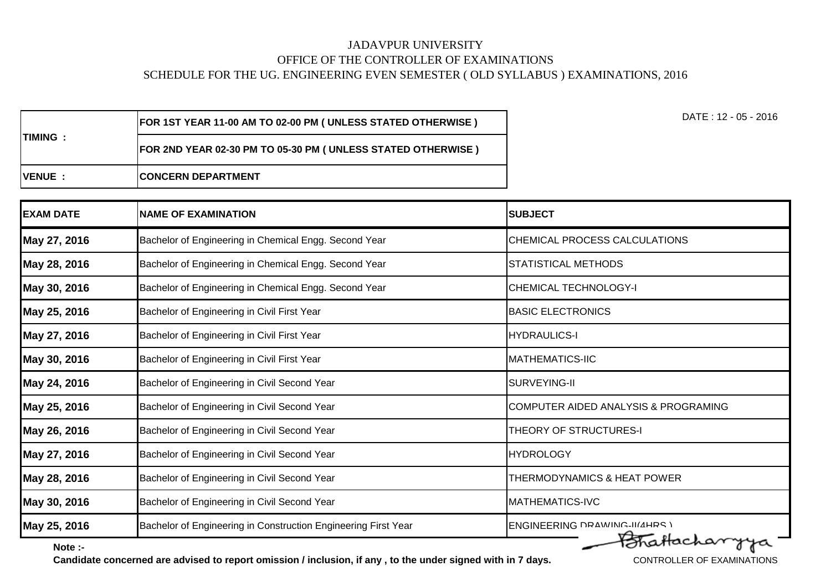| <b>EXAM DATE</b> | <b>NAME OF EXAMINATION</b>                                     | <b>SUBJECT</b>                       |
|------------------|----------------------------------------------------------------|--------------------------------------|
| May 27, 2016     | Bachelor of Engineering in Chemical Engg. Second Year          | CHEMICAL PROCESS CALCULATIONS        |
| May 28, 2016     | Bachelor of Engineering in Chemical Engg. Second Year          | <b>STATISTICAL METHODS</b>           |
| May 30, 2016     | Bachelor of Engineering in Chemical Engg. Second Year          | <b>CHEMICAL TECHNOLOGY-I</b>         |
| May 25, 2016     | Bachelor of Engineering in Civil First Year                    | <b>BASIC ELECTRONICS</b>             |
| May 27, 2016     | Bachelor of Engineering in Civil First Year                    | <b>HYDRAULICS-I</b>                  |
| May 30, 2016     | Bachelor of Engineering in Civil First Year                    | <b>MATHEMATICS-IIC</b>               |
| May 24, 2016     | Bachelor of Engineering in Civil Second Year                   | SURVEYING-II                         |
| May 25, 2016     | Bachelor of Engineering in Civil Second Year                   | COMPUTER AIDED ANALYSIS & PROGRAMING |
| May 26, 2016     | Bachelor of Engineering in Civil Second Year                   | THEORY OF STRUCTURES-I               |
| May 27, 2016     | Bachelor of Engineering in Civil Second Year                   | <b>HYDROLOGY</b>                     |
| May 28, 2016     | Bachelor of Engineering in Civil Second Year                   | THERMODYNAMICS & HEAT POWER          |
| May 30, 2016     | Bachelor of Engineering in Civil Second Year                   | <b>MATHEMATICS-IVC</b>               |
| May 25, 2016     | Bachelor of Engineering in Construction Engineering First Year | <b>ENGINEERING DRAWING-III/4HRS)</b> |
| Note :-          |                                                                | Fotafacharyya                        |

**Note :-**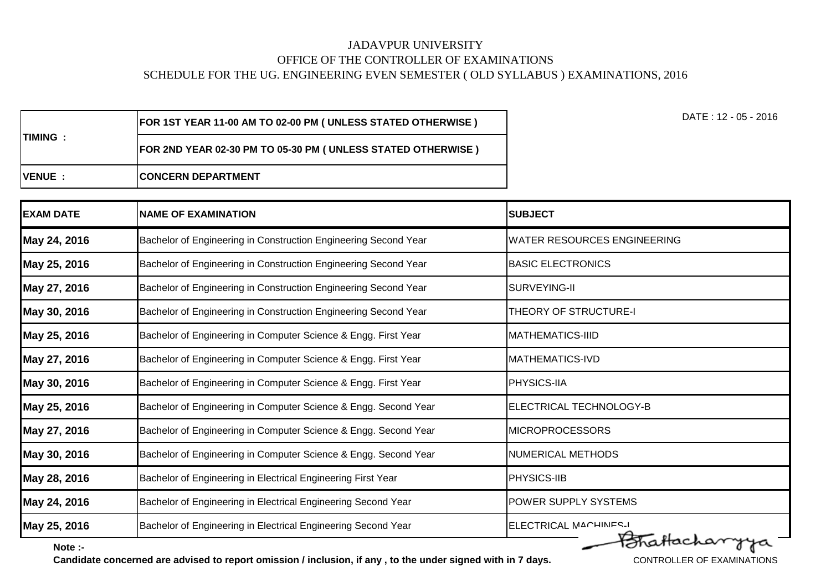| ITIMING         | <b>FOR 1ST YEAR 11-00 AM TO 02-00 PM ( UNLESS STATED OTHERWISE )</b> | DATE : 12 - 05 - 2016 |
|-----------------|----------------------------------------------------------------------|-----------------------|
|                 | FOR 2ND YEAR 02-30 PM TO 05-30 PM ( UNLESS STATED OTHERWISE )        |                       |
| <b>IVENUE :</b> | <b>ICONCERN DEPARTMENT</b>                                           |                       |

| <b>EXAM DATE</b> | <b>NAME OF EXAMINATION</b>                                      | <b>SUBJECT</b>                     |
|------------------|-----------------------------------------------------------------|------------------------------------|
| May 24, 2016     | Bachelor of Engineering in Construction Engineering Second Year | <b>WATER RESOURCES ENGINEERING</b> |
| May 25, 2016     | Bachelor of Engineering in Construction Engineering Second Year | <b>BASIC ELECTRONICS</b>           |
| May 27, 2016     | Bachelor of Engineering in Construction Engineering Second Year | SURVEYING-II                       |
| May 30, 2016     | Bachelor of Engineering in Construction Engineering Second Year | THEORY OF STRUCTURE-I              |
| May 25, 2016     | Bachelor of Engineering in Computer Science & Engg. First Year  | <b>MATHEMATICS-IIID</b>            |
| May 27, 2016     | Bachelor of Engineering in Computer Science & Engg. First Year  | <b>MATHEMATICS-IVD</b>             |
| May 30, 2016     | Bachelor of Engineering in Computer Science & Engg. First Year  | <b>PHYSICS-IIA</b>                 |
| May 25, 2016     | Bachelor of Engineering in Computer Science & Engg. Second Year | ELECTRICAL TECHNOLOGY-B            |
| May 27, 2016     | Bachelor of Engineering in Computer Science & Engg. Second Year | <b>MICROPROCESSORS</b>             |
| May 30, 2016     | Bachelor of Engineering in Computer Science & Engg. Second Year | NUMERICAL METHODS                  |
| May 28, 2016     | Bachelor of Engineering in Electrical Engineering First Year    | PHYSICS-IIB                        |
| May 24, 2016     | Bachelor of Engineering in Electrical Engineering Second Year   | <b>POWER SUPPLY SYSTEMS</b>        |
| May 25, 2016     | Bachelor of Engineering in Electrical Engineering Second Year   | ELECTRICAL MACHINES-I              |
| Note :-          |                                                                 | FoTatlacharryya                    |

**Note :-**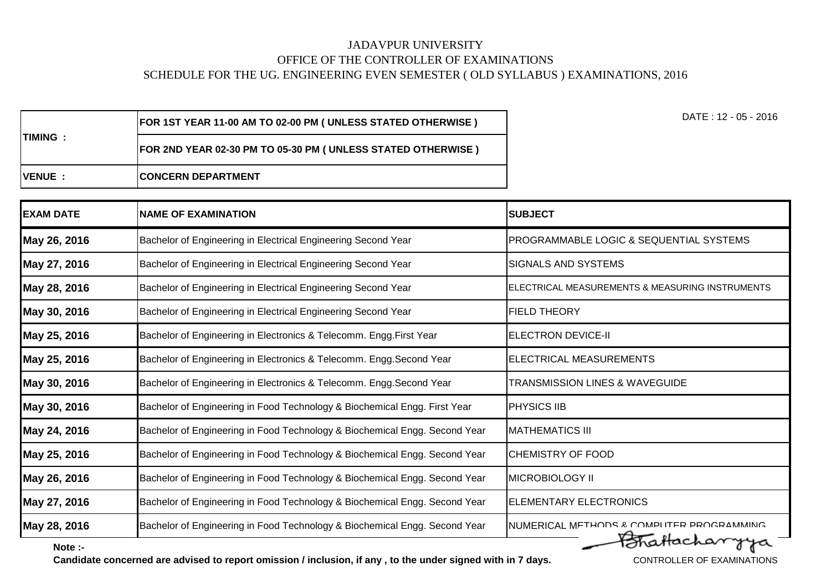| ITIMING       | <b>[FOR 1ST YEAR 11-00 AM TO 02-00 PM ( UNLESS STATED OTHERWISE )</b> | DATE : 12 - 05 - 2016 |
|---------------|-----------------------------------------------------------------------|-----------------------|
|               | FOR 2ND YEAR 02-30 PM TO 05-30 PM ( UNLESS STATED OTHERWISE )         |                       |
| <b>IVENUE</b> | <b>ICONCERN DEPARTMENT</b>                                            |                       |

| <b>EXAM DATE</b> | <b>NAME OF EXAMINATION</b>                                                 | <b>SUBJECT</b>                                  |
|------------------|----------------------------------------------------------------------------|-------------------------------------------------|
| May 26, 2016     | Bachelor of Engineering in Electrical Engineering Second Year              | PROGRAMMABLE LOGIC & SEQUENTIAL SYSTEMS         |
| May 27, 2016     | Bachelor of Engineering in Electrical Engineering Second Year              | SIGNALS AND SYSTEMS                             |
| May 28, 2016     | Bachelor of Engineering in Electrical Engineering Second Year              | ELECTRICAL MEASUREMENTS & MEASURING INSTRUMENTS |
| May 30, 2016     | Bachelor of Engineering in Electrical Engineering Second Year              | <b>FIELD THEORY</b>                             |
| May 25, 2016     | Bachelor of Engineering in Electronics & Telecomm. Engg. First Year        | <b>ELECTRON DEVICE-II</b>                       |
| May 25, 2016     | Bachelor of Engineering in Electronics & Telecomm. Engg. Second Year       | ELECTRICAL MEASUREMENTS                         |
| May 30, 2016     | Bachelor of Engineering in Electronics & Telecomm. Engg. Second Year       | <b>TRANSMISSION LINES &amp; WAVEGUIDE</b>       |
| May 30, 2016     | Bachelor of Engineering in Food Technology & Biochemical Engg. First Year  | <b>PHYSICS IIB</b>                              |
| May 24, 2016     | Bachelor of Engineering in Food Technology & Biochemical Engg. Second Year | <b>MATHEMATICS III</b>                          |
| May 25, 2016     | Bachelor of Engineering in Food Technology & Biochemical Engg. Second Year | CHEMISTRY OF FOOD                               |
| May 26, 2016     | Bachelor of Engineering in Food Technology & Biochemical Engg. Second Year | <b>MICROBIOLOGY II</b>                          |
| May 27, 2016     | Bachelor of Engineering in Food Technology & Biochemical Engg. Second Year | <b>ELEMENTARY ELECTRONICS</b>                   |
| May 28, 2016     | Bachelor of Engineering in Food Technology & Biochemical Engg. Second Year | NUMERICAL METHODS & COMPLITER PROGRAMMING       |
| Note :-          |                                                                            | PoTatlacharryya                                 |

**Note :-**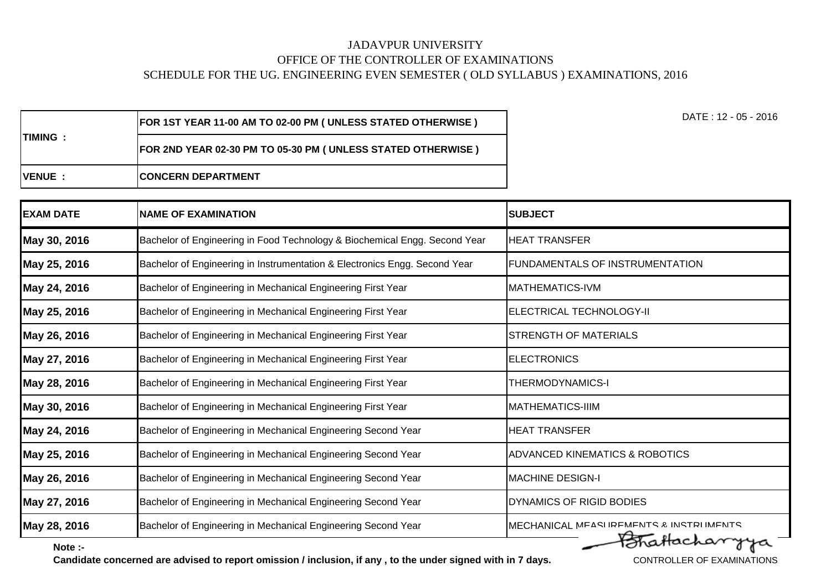| <b>EXAM DATE</b> | <b>NAME OF EXAMINATION</b>                                                 | <b>SUBJECT</b>                            |
|------------------|----------------------------------------------------------------------------|-------------------------------------------|
| May 30, 2016     | Bachelor of Engineering in Food Technology & Biochemical Engg. Second Year | <b>HEAT TRANSFER</b>                      |
| May 25, 2016     | Bachelor of Engineering in Instrumentation & Electronics Engg. Second Year | FUNDAMENTALS OF INSTRUMENTATION           |
| May 24, 2016     | Bachelor of Engineering in Mechanical Engineering First Year               | <b>MATHEMATICS-IVM</b>                    |
| May 25, 2016     | Bachelor of Engineering in Mechanical Engineering First Year               | ELECTRICAL TECHNOLOGY-II                  |
| May 26, 2016     | Bachelor of Engineering in Mechanical Engineering First Year               | STRENGTH OF MATERIALS                     |
| May 27, 2016     | Bachelor of Engineering in Mechanical Engineering First Year               | <b>ELECTRONICS</b>                        |
| May 28, 2016     | Bachelor of Engineering in Mechanical Engineering First Year               | <b>THERMODYNAMICS-I</b>                   |
| May 30, 2016     | Bachelor of Engineering in Mechanical Engineering First Year               | <b>IMATHEMATICS-IIIM</b>                  |
| May 24, 2016     | Bachelor of Engineering in Mechanical Engineering Second Year              | <b>HEAT TRANSFER</b>                      |
| May 25, 2016     | Bachelor of Engineering in Mechanical Engineering Second Year              | <b>ADVANCED KINEMATICS &amp; ROBOTICS</b> |
| May 26, 2016     | Bachelor of Engineering in Mechanical Engineering Second Year              | <b>MACHINE DESIGN-I</b>                   |
| May 27, 2016     | Bachelor of Engineering in Mechanical Engineering Second Year              | <b>DYNAMICS OF RIGID BODIES</b>           |
| May 28, 2016     | Bachelor of Engineering in Mechanical Engineering Second Year              | MECHANICAL MEASLIREMENTS & INSTRUMENTS    |
| Note :-          |                                                                            | Fotballacharrya                           |

**Note :-**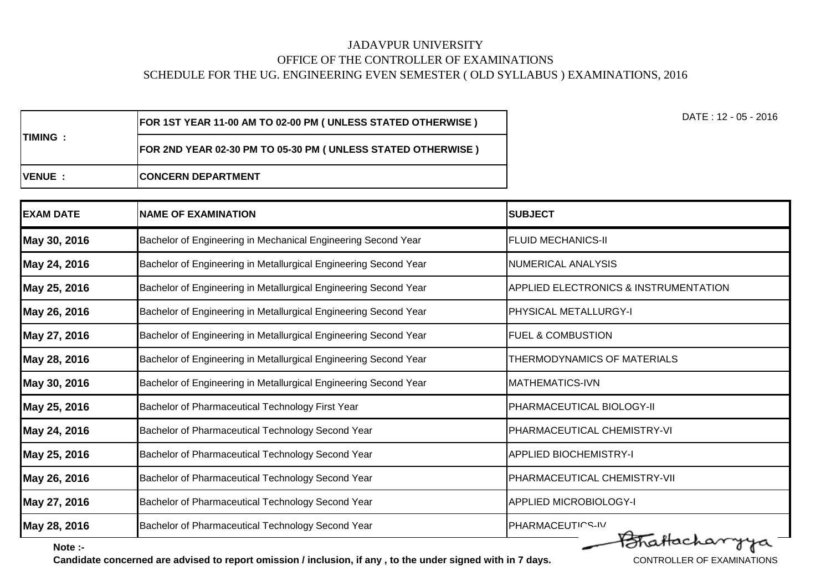| <b>EXAM DATE</b> | <b>NAME OF EXAMINATION</b>                                       | <b>SUBJECT</b>                        |
|------------------|------------------------------------------------------------------|---------------------------------------|
| May 30, 2016     | Bachelor of Engineering in Mechanical Engineering Second Year    | <b>FLUID MECHANICS-II</b>             |
| May 24, 2016     | Bachelor of Engineering in Metallurgical Engineering Second Year | <b>NUMERICAL ANALYSIS</b>             |
| May 25, 2016     | Bachelor of Engineering in Metallurgical Engineering Second Year | APPLIED ELECTRONICS & INSTRUMENTATION |
| May 26, 2016     | Bachelor of Engineering in Metallurgical Engineering Second Year | PHYSICAL METALLURGY-I                 |
| May 27, 2016     | Bachelor of Engineering in Metallurgical Engineering Second Year | <b>FUEL &amp; COMBUSTION</b>          |
| May 28, 2016     | Bachelor of Engineering in Metallurgical Engineering Second Year | THERMODYNAMICS OF MATERIALS           |
| May 30, 2016     | Bachelor of Engineering in Metallurgical Engineering Second Year | <b>MATHEMATICS-IVN</b>                |
| May 25, 2016     | Bachelor of Pharmaceutical Technology First Year                 | PHARMACEUTICAL BIOLOGY-II             |
| May 24, 2016     | Bachelor of Pharmaceutical Technology Second Year                | PHARMACEUTICAL CHEMISTRY-VI           |
| May 25, 2016     | Bachelor of Pharmaceutical Technology Second Year                | <b>APPLIED BIOCHEMISTRY-I</b>         |
| May 26, 2016     | Bachelor of Pharmaceutical Technology Second Year                | PHARMACEUTICAL CHEMISTRY-VII          |
| May 27, 2016     | Bachelor of Pharmaceutical Technology Second Year                | <b>APPLIED MICROBIOLOGY-I</b>         |
| May 28, 2016     | Bachelor of Pharmaceutical Technology Second Year                | PHARMACEUTICS-IV                      |
| Note :-          |                                                                  | Brattacharyya                         |

**Note :-**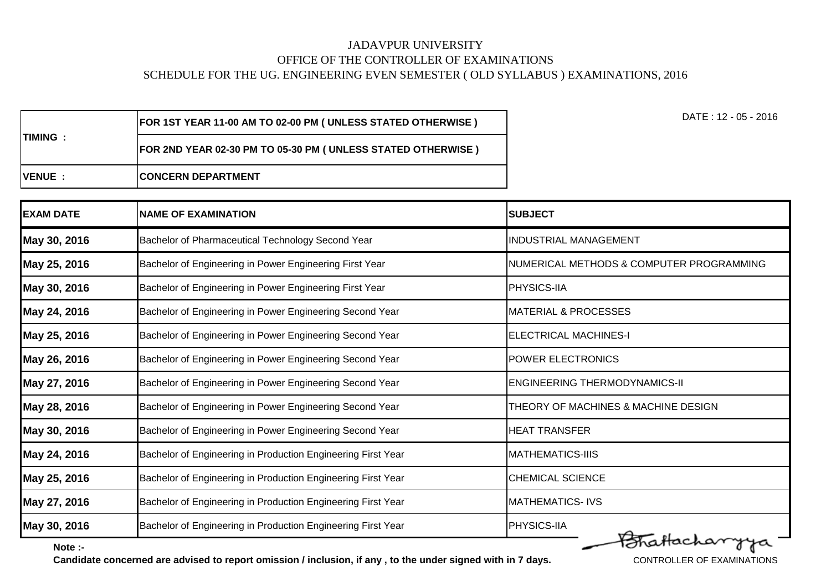| <b>IVENUE :</b> | <b>ICONCERN DEPARTMENT</b>                                           |
|-----------------|----------------------------------------------------------------------|
| ITIMING :       | FOR 2ND YEAR 02-30 PM TO 05-30 PM ( UNLESS STATED OTHERWISE )        |
|                 | <b>FOR 1ST YEAR 11-00 AM TO 02-00 PM ( UNLESS STATED OTHERWISE )</b> |

| <b>EXAM DATE</b> | <b>NAME OF EXAMINATION</b>                                   | <b>SUBJECT</b>                           |
|------------------|--------------------------------------------------------------|------------------------------------------|
| May 30, 2016     | Bachelor of Pharmaceutical Technology Second Year            | <b>INDUSTRIAL MANAGEMENT</b>             |
| May 25, 2016     | Bachelor of Engineering in Power Engineering First Year      | NUMERICAL METHODS & COMPUTER PROGRAMMING |
| May 30, 2016     | Bachelor of Engineering in Power Engineering First Year      | PHYSICS-IIA                              |
| May 24, 2016     | Bachelor of Engineering in Power Engineering Second Year     | <b>MATERIAL &amp; PROCESSES</b>          |
| May 25, 2016     | Bachelor of Engineering in Power Engineering Second Year     | <b>ELECTRICAL MACHINES-I</b>             |
| May 26, 2016     | Bachelor of Engineering in Power Engineering Second Year     | <b>POWER ELECTRONICS</b>                 |
| May 27, 2016     | Bachelor of Engineering in Power Engineering Second Year     | <b>ENGINEERING THERMODYNAMICS-II</b>     |
| May 28, 2016     | Bachelor of Engineering in Power Engineering Second Year     | THEORY OF MACHINES & MACHINE DESIGN      |
| May 30, 2016     | Bachelor of Engineering in Power Engineering Second Year     | <b>HEAT TRANSFER</b>                     |
| May 24, 2016     | Bachelor of Engineering in Production Engineering First Year | <b>MATHEMATICS-IIIS</b>                  |
| May 25, 2016     | Bachelor of Engineering in Production Engineering First Year | <b>CHEMICAL SCIENCE</b>                  |
| May 27, 2016     | Bachelor of Engineering in Production Engineering First Year | <b>MATHEMATICS-IVS</b>                   |
| May 30, 2016     | Bachelor of Engineering in Production Engineering First Year | PHYSICS-IIA<br>Fotbacharysa              |

 $0<sup>0</sup>$ 

**Note :-**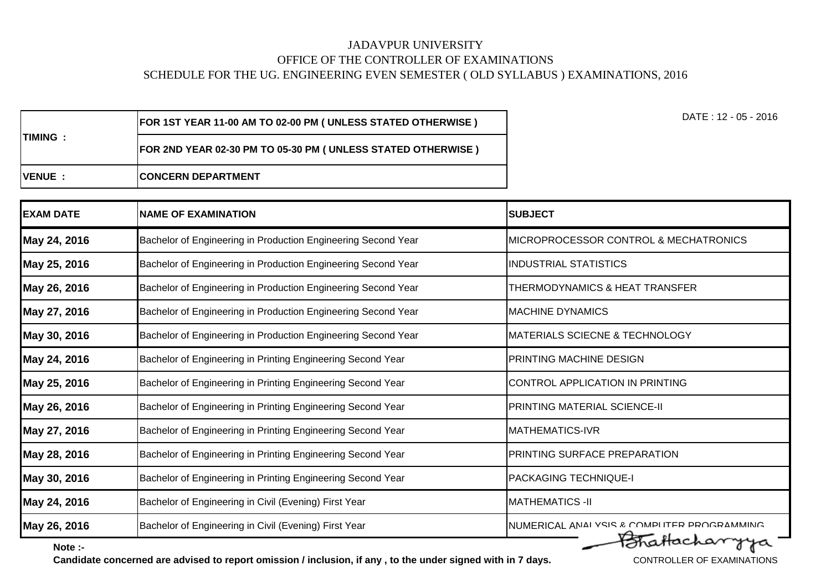| <b>ITIMING:</b> | <b>FOR 1ST YEAR 11-00 AM TO 02-00 PM ( UNLESS STATED OTHERWISE )</b>  | DATE : 12 - 05 - 2016 |
|-----------------|-----------------------------------------------------------------------|-----------------------|
|                 | <b>[FOR 2ND YEAR 02-30 PM TO 05-30 PM ( UNLESS STATED OTHERWISE )</b> |                       |
| <b>IVENUE:</b>  | <b>ICONCERN DEPARTMENT</b>                                            |                       |

| <b>EXAM DATE</b> | <b>NAME OF EXAMINATION</b>                                    | <b>SUBJECT</b>                              |
|------------------|---------------------------------------------------------------|---------------------------------------------|
| May 24, 2016     | Bachelor of Engineering in Production Engineering Second Year | MICROPROCESSOR CONTROL & MECHATRONICS       |
| May 25, 2016     | Bachelor of Engineering in Production Engineering Second Year | <b>INDUSTRIAL STATISTICS</b>                |
| May 26, 2016     | Bachelor of Engineering in Production Engineering Second Year | THERMODYNAMICS & HEAT TRANSFER              |
| May 27, 2016     | Bachelor of Engineering in Production Engineering Second Year | <b>MACHINE DYNAMICS</b>                     |
| May 30, 2016     | Bachelor of Engineering in Production Engineering Second Year | MATERIALS SCIECNE & TECHNOLOGY              |
| May 24, 2016     | Bachelor of Engineering in Printing Engineering Second Year   | PRINTING MACHINE DESIGN                     |
| May 25, 2016     | Bachelor of Engineering in Printing Engineering Second Year   | CONTROL APPLICATION IN PRINTING             |
| May 26, 2016     | Bachelor of Engineering in Printing Engineering Second Year   | <b>PRINTING MATERIAL SCIENCE-II</b>         |
| May 27, 2016     | Bachelor of Engineering in Printing Engineering Second Year   | <b>MATHEMATICS-IVR</b>                      |
| May 28, 2016     | Bachelor of Engineering in Printing Engineering Second Year   | PRINTING SURFACE PREPARATION                |
| May 30, 2016     | Bachelor of Engineering in Printing Engineering Second Year   | <b>PACKAGING TECHNIQUE-I</b>                |
| May 24, 2016     | Bachelor of Engineering in Civil (Evening) First Year         | <b>MATHEMATICS -II</b>                      |
| May 26, 2016     | Bachelor of Engineering in Civil (Evening) First Year         | NUMERICAL ANAI YSIS & COMPLITER PROGRAMMING |
| Note :-          |                                                               | FoTraffacharryya                            |

**Note :-**